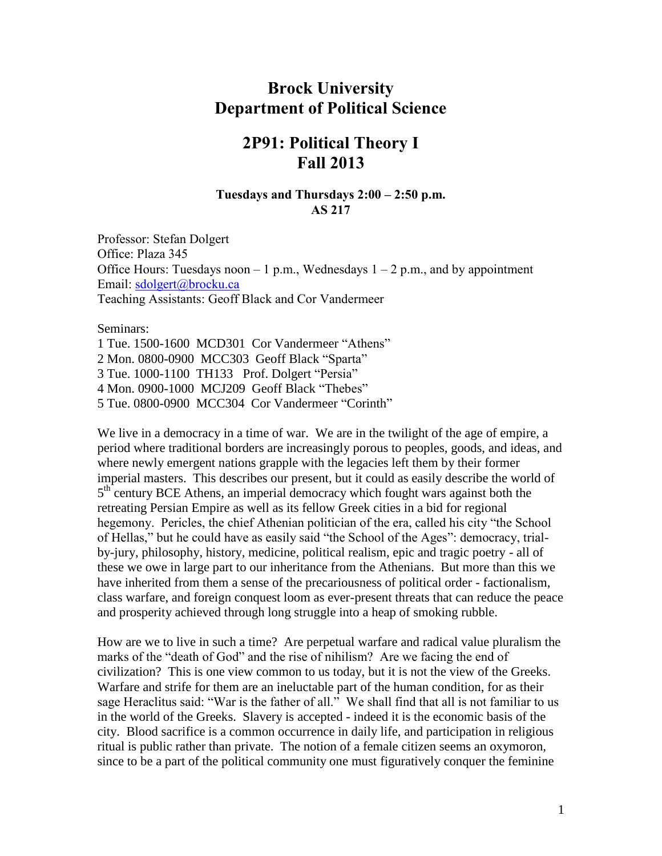# **Brock University Department of Political Science**

# **2P91: Political Theory I Fall 2013**

# **Tuesdays and Thursdays 2:00 – 2:50 p.m. AS 217**

Professor: Stefan Dolgert Office: Plaza 345 Office Hours: Tuesdays noon – 1 p.m., Wednesdays  $1 - 2$  p.m., and by appointment Email: [sdolgert@brocku.ca](mailto:sdolgert@brocku.ca) Teaching Assistants: Geoff Black and Cor Vandermeer

Seminars:

1 Tue. 1500-1600 MCD301 Cor Vandermeer "Athens" 2 Mon. 0800-0900 MCC303 Geoff Black "Sparta" 3 Tue. 1000-1100 TH133 Prof. Dolgert "Persia" 4 Mon. 0900-1000 MCJ209 Geoff Black "Thebes" 5 Tue. 0800-0900 MCC304 Cor Vandermeer "Corinth"

We live in a democracy in a time of war. We are in the twilight of the age of empire, a period where traditional borders are increasingly porous to peoples, goods, and ideas, and where newly emergent nations grapple with the legacies left them by their former imperial masters. This describes our present, but it could as easily describe the world of 5<sup>th</sup> century BCE Athens, an imperial democracy which fought wars against both the retreating Persian Empire as well as its fellow Greek cities in a bid for regional hegemony. Pericles, the chief Athenian politician of the era, called his city "the School of Hellas," but he could have as easily said "the School of the Ages": democracy, trialby-jury, philosophy, history, medicine, political realism, epic and tragic poetry - all of these we owe in large part to our inheritance from the Athenians. But more than this we have inherited from them a sense of the precariousness of political order - factionalism, class warfare, and foreign conquest loom as ever-present threats that can reduce the peace and prosperity achieved through long struggle into a heap of smoking rubble.

How are we to live in such a time? Are perpetual warfare and radical value pluralism the marks of the "death of God" and the rise of nihilism? Are we facing the end of civilization? This is one view common to us today, but it is not the view of the Greeks. Warfare and strife for them are an ineluctable part of the human condition, for as their sage Heraclitus said: "War is the father of all." We shall find that all is not familiar to us in the world of the Greeks. Slavery is accepted - indeed it is the economic basis of the city. Blood sacrifice is a common occurrence in daily life, and participation in religious ritual is public rather than private. The notion of a female citizen seems an oxymoron, since to be a part of the political community one must figuratively conquer the feminine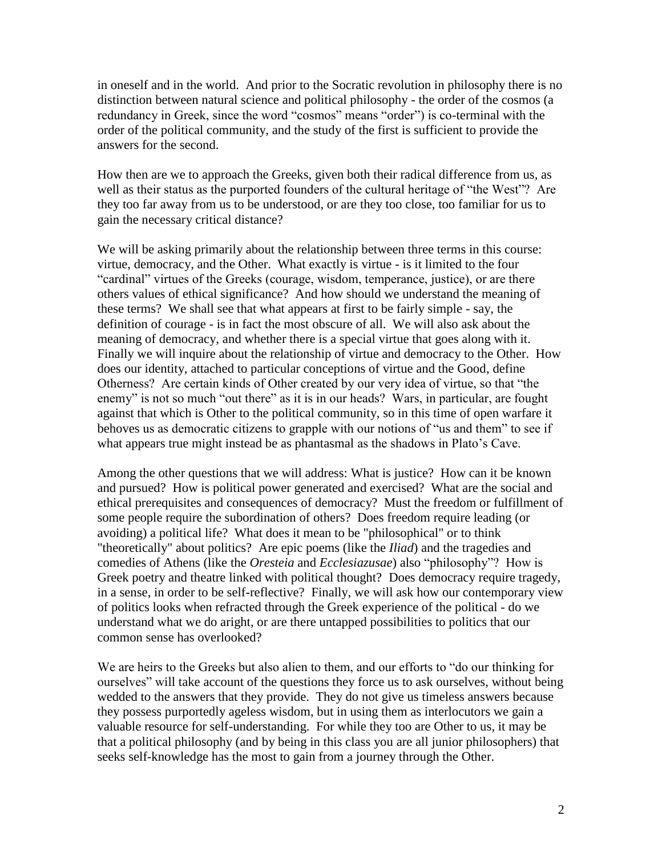in oneself and in the world. And prior to the Socratic revolution in philosophy there is no distinction between natural science and political philosophy - the order of the cosmos (a redundancy in Greek, since the word "cosmos" means "order") is co-terminal with the order of the political community, and the study of the first is sufficient to provide the answers for the second.

How then are we to approach the Greeks, given both their radical difference from us, as well as their status as the purported founders of the cultural heritage of "the West"? Are they too far away from us to be understood, or are they too close, too familiar for us to gain the necessary critical distance?

We will be asking primarily about the relationship between three terms in this course: virtue, democracy, and the Other. What exactly is virtue - is it limited to the four "cardinal" virtues of the Greeks (courage, wisdom, temperance, justice), or are there others values of ethical significance? And how should we understand the meaning of these terms? We shall see that what appears at first to be fairly simple - say, the definition of courage - is in fact the most obscure of all. We will also ask about the meaning of democracy, and whether there is a special virtue that goes along with it. Finally we will inquire about the relationship of virtue and democracy to the Other. How does our identity, attached to particular conceptions of virtue and the Good, define Otherness? Are certain kinds of Other created by our very idea of virtue, so that "the enemy" is not so much "out there" as it is in our heads? Wars, in particular, are fought against that which is Other to the political community, so in this time of open warfare it behoves us as democratic citizens to grapple with our notions of "us and them" to see if what appears true might instead be as phantasmal as the shadows in Plato's Cave.

Among the other questions that we will address: What is justice? How can it be known and pursued? How is political power generated and exercised? What are the social and ethical prerequisites and consequences of democracy? Must the freedom or fulfillment of some people require the subordination of others? Does freedom require leading (or avoiding) a political life? What does it mean to be "philosophical" or to think "theoretically" about politics? Are epic poems (like the *Iliad*) and the tragedies and comedies of Athens (like the *Oresteia* and *Ecclesiazusae*) also "philosophy"? How is Greek poetry and theatre linked with political thought? Does democracy require tragedy, in a sense, in order to be self-reflective? Finally, we will ask how our contemporary view of politics looks when refracted through the Greek experience of the political - do we understand what we do aright, or are there untapped possibilities to politics that our common sense has overlooked?

We are heirs to the Greeks but also alien to them, and our efforts to "do our thinking for ourselves" will take account of the questions they force us to ask ourselves, without being wedded to the answers that they provide. They do not give us timeless answers because they possess purportedly ageless wisdom, but in using them as interlocutors we gain a valuable resource for self-understanding. For while they too are Other to us, it may be that a political philosophy (and by being in this class you are all junior philosophers) that seeks self-knowledge has the most to gain from a journey through the Other.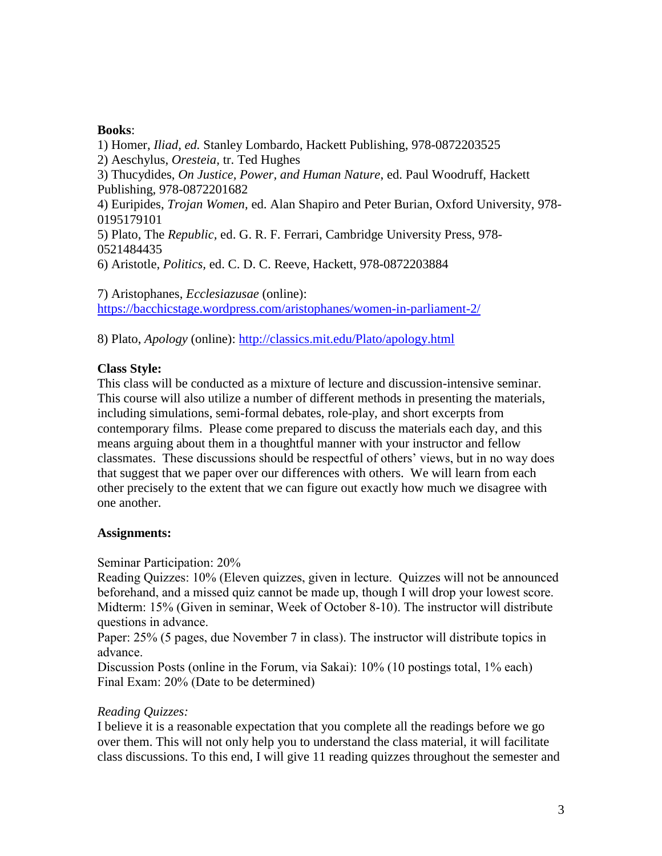# **Books**:

1) Homer, *Iliad, ed.* Stanley Lombardo, Hackett Publishing, 978-0872203525 2) Aeschylus, *Oresteia,* tr. Ted Hughes 3) Thucydides, *On Justice, Power, and Human Nature*, ed. Paul Woodruff, Hackett Publishing, 978-0872201682 4) Euripides, *Trojan Women,* ed. Alan Shapiro and Peter Burian, Oxford University, 978- 0195179101 5) Plato, The *Republic,* ed. G. R. F. Ferrari, Cambridge University Press, 978- 0521484435 6) Aristotle, *Politics,* ed. C. D. C. Reeve, Hackett, 978-0872203884

7) Aristophanes, *Ecclesiazusae* (online): <https://bacchicstage.wordpress.com/aristophanes/women-in-parliament-2/>

8) Plato, *Apology* (online):<http://classics.mit.edu/Plato/apology.html>

# **Class Style:**

This class will be conducted as a mixture of lecture and discussion-intensive seminar. This course will also utilize a number of different methods in presenting the materials, including simulations, semi-formal debates, role-play, and short excerpts from contemporary films. Please come prepared to discuss the materials each day, and this means arguing about them in a thoughtful manner with your instructor and fellow classmates. These discussions should be respectful of others' views, but in no way does that suggest that we paper over our differences with others. We will learn from each other precisely to the extent that we can figure out exactly how much we disagree with one another.

# **Assignments:**

Seminar Participation: 20%

Reading Quizzes: 10% (Eleven quizzes, given in lecture. Quizzes will not be announced beforehand, and a missed quiz cannot be made up, though I will drop your lowest score. Midterm: 15% (Given in seminar, Week of October 8-10). The instructor will distribute questions in advance.

Paper: 25% (5 pages, due November 7 in class). The instructor will distribute topics in advance.

Discussion Posts (online in the Forum, via Sakai): 10% (10 postings total, 1% each) Final Exam: 20% (Date to be determined)

# *Reading Quizzes:*

I believe it is a reasonable expectation that you complete all the readings before we go over them. This will not only help you to understand the class material, it will facilitate class discussions. To this end, I will give 11 reading quizzes throughout the semester and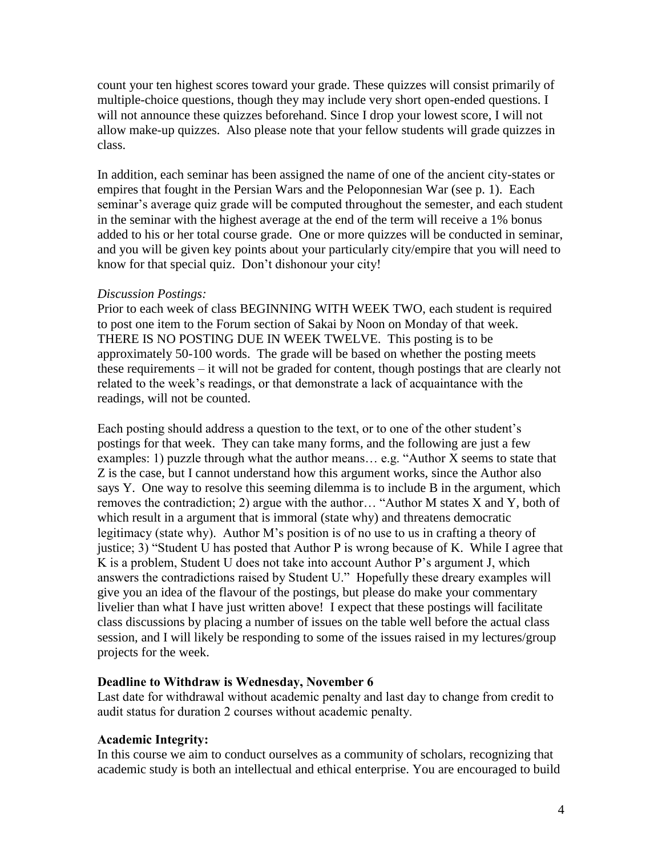count your ten highest scores toward your grade. These quizzes will consist primarily of multiple-choice questions, though they may include very short open-ended questions. I will not announce these quizzes beforehand. Since I drop your lowest score, I will not allow make-up quizzes. Also please note that your fellow students will grade quizzes in class.

In addition, each seminar has been assigned the name of one of the ancient city-states or empires that fought in the Persian Wars and the Peloponnesian War (see p. 1). Each seminar's average quiz grade will be computed throughout the semester, and each student in the seminar with the highest average at the end of the term will receive a 1% bonus added to his or her total course grade. One or more quizzes will be conducted in seminar, and you will be given key points about your particularly city/empire that you will need to know for that special quiz. Don't dishonour your city!

# *Discussion Postings:*

Prior to each week of class BEGINNING WITH WEEK TWO, each student is required to post one item to the Forum section of Sakai by Noon on Monday of that week. THERE IS NO POSTING DUE IN WEEK TWELVE. This posting is to be approximately 50-100 words. The grade will be based on whether the posting meets these requirements – it will not be graded for content, though postings that are clearly not related to the week's readings, or that demonstrate a lack of acquaintance with the readings, will not be counted.

Each posting should address a question to the text, or to one of the other student's postings for that week. They can take many forms, and the following are just a few examples: 1) puzzle through what the author means… e.g. "Author X seems to state that Z is the case, but I cannot understand how this argument works, since the Author also says Y. One way to resolve this seeming dilemma is to include B in the argument, which removes the contradiction; 2) argue with the author… "Author M states X and Y, both of which result in a argument that is immoral (state why) and threatens democratic legitimacy (state why). Author M's position is of no use to us in crafting a theory of justice; 3) "Student U has posted that Author P is wrong because of K. While I agree that K is a problem, Student U does not take into account Author P's argument J, which answers the contradictions raised by Student U." Hopefully these dreary examples will give you an idea of the flavour of the postings, but please do make your commentary livelier than what I have just written above! I expect that these postings will facilitate class discussions by placing a number of issues on the table well before the actual class session, and I will likely be responding to some of the issues raised in my lectures/group projects for the week.

# **Deadline to Withdraw is Wednesday, November 6**

Last date for withdrawal without academic penalty and last day to change from credit to audit status for duration 2 courses without academic penalty.

# **Academic Integrity:**

In this course we aim to conduct ourselves as a community of scholars, recognizing that academic study is both an intellectual and ethical enterprise. You are encouraged to build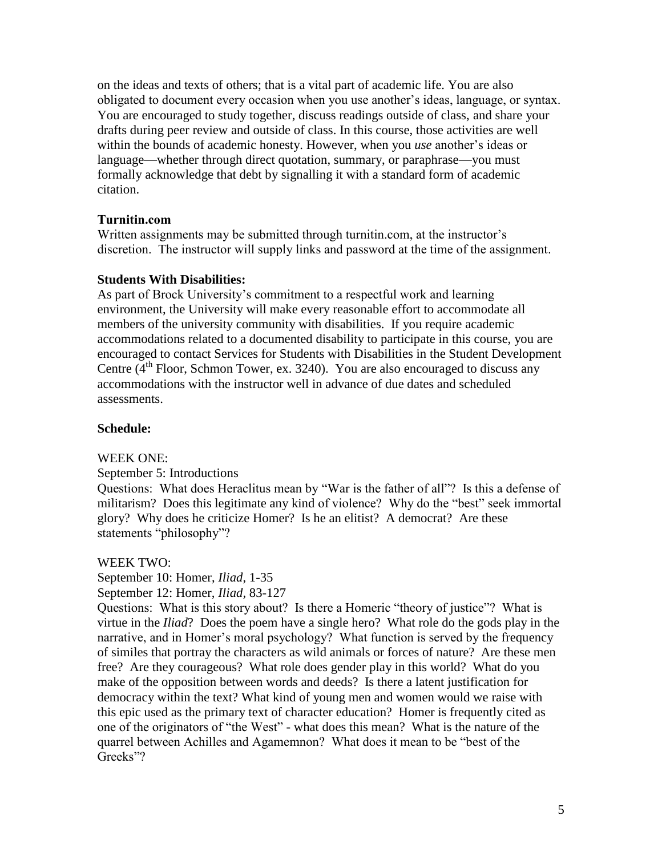on the ideas and texts of others; that is a vital part of academic life. You are also obligated to document every occasion when you use another's ideas, language, or syntax. You are encouraged to study together, discuss readings outside of class, and share your drafts during peer review and outside of class. In this course, those activities are well within the bounds of academic honesty. However, when you *use* another's ideas or language—whether through direct quotation, summary, or paraphrase—you must formally acknowledge that debt by signalling it with a standard form of academic citation.

# **Turnitin.com**

Written assignments may be submitted through turnitin.com, at the instructor's discretion. The instructor will supply links and password at the time of the assignment.

#### **Students With Disabilities:**

As part of Brock University's commitment to a respectful work and learning environment, the University will make every reasonable effort to accommodate all members of the university community with disabilities. If you require academic accommodations related to a documented disability to participate in this course, you are encouraged to contact Services for Students with Disabilities in the Student Development Centre  $(4<sup>th</sup>$  Floor, Schmon Tower, ex. 3240). You are also encouraged to discuss any accommodations with the instructor well in advance of due dates and scheduled assessments.

# **Schedule:**

#### WEEK ONE:

#### September 5: Introductions

Questions: What does Heraclitus mean by "War is the father of all"? Is this a defense of militarism? Does this legitimate any kind of violence? Why do the "best" seek immortal glory? Why does he criticize Homer? Is he an elitist? A democrat? Are these statements "philosophy"?

#### WEEK TWO:

September 10: Homer, *Iliad*, 1-35

September 12: Homer, *Iliad,* 83-127

Questions: What is this story about? Is there a Homeric "theory of justice"? What is virtue in the *Iliad*? Does the poem have a single hero? What role do the gods play in the narrative, and in Homer's moral psychology? What function is served by the frequency of similes that portray the characters as wild animals or forces of nature? Are these men free? Are they courageous? What role does gender play in this world? What do you make of the opposition between words and deeds? Is there a latent justification for democracy within the text? What kind of young men and women would we raise with this epic used as the primary text of character education? Homer is frequently cited as one of the originators of "the West" - what does this mean? What is the nature of the quarrel between Achilles and Agamemnon? What does it mean to be "best of the Greeks"?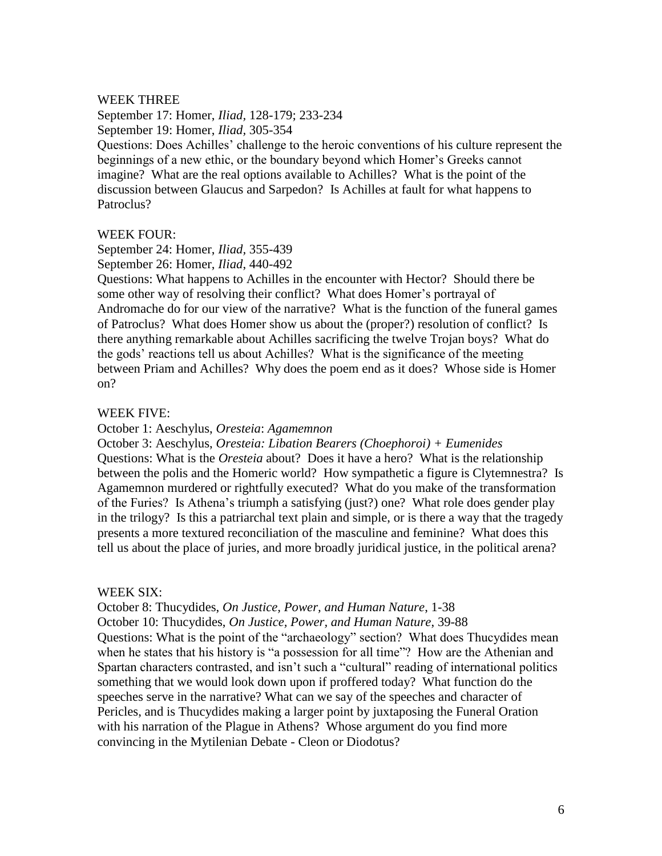#### WEEK THREE

September 17: Homer, *Iliad,* 128-179; 233-234 September 19: Homer, *Iliad,* 305-354

Questions: Does Achilles' challenge to the heroic conventions of his culture represent the beginnings of a new ethic, or the boundary beyond which Homer's Greeks cannot imagine? What are the real options available to Achilles? What is the point of the discussion between Glaucus and Sarpedon? Is Achilles at fault for what happens to Patroclus?

#### WEEK FOUR:

September 24: Homer, *Iliad,* 355-439 September 26: Homer, *Iliad*, 440-492

Questions: What happens to Achilles in the encounter with Hector? Should there be some other way of resolving their conflict? What does Homer's portrayal of Andromache do for our view of the narrative? What is the function of the funeral games of Patroclus? What does Homer show us about the (proper?) resolution of conflict? Is there anything remarkable about Achilles sacrificing the twelve Trojan boys? What do the gods' reactions tell us about Achilles? What is the significance of the meeting between Priam and Achilles? Why does the poem end as it does? Whose side is Homer on?

#### WEEK FIVE:

October 1: Aeschylus, *Oresteia*: *Agamemnon*

October 3: Aeschylus, *Oresteia: Libation Bearers (Choephoroi) + Eumenides* Questions: What is the *Oresteia* about? Does it have a hero? What is the relationship between the polis and the Homeric world? How sympathetic a figure is Clytemnestra? Is Agamemnon murdered or rightfully executed? What do you make of the transformation of the Furies? Is Athena's triumph a satisfying (just?) one? What role does gender play in the trilogy? Is this a patriarchal text plain and simple, or is there a way that the tragedy presents a more textured reconciliation of the masculine and feminine? What does this tell us about the place of juries, and more broadly juridical justice, in the political arena?

#### WEEK SIX:

October 8: Thucydides, *On Justice, Power, and Human Nature*, 1-38 October 10: Thucydides, *On Justice, Power, and Human Nature*, 39-88 Questions: What is the point of the "archaeology" section? What does Thucydides mean when he states that his history is "a possession for all time"? How are the Athenian and Spartan characters contrasted, and isn't such a "cultural" reading of international politics something that we would look down upon if proffered today? What function do the speeches serve in the narrative? What can we say of the speeches and character of Pericles, and is Thucydides making a larger point by juxtaposing the Funeral Oration with his narration of the Plague in Athens? Whose argument do you find more convincing in the Mytilenian Debate - Cleon or Diodotus?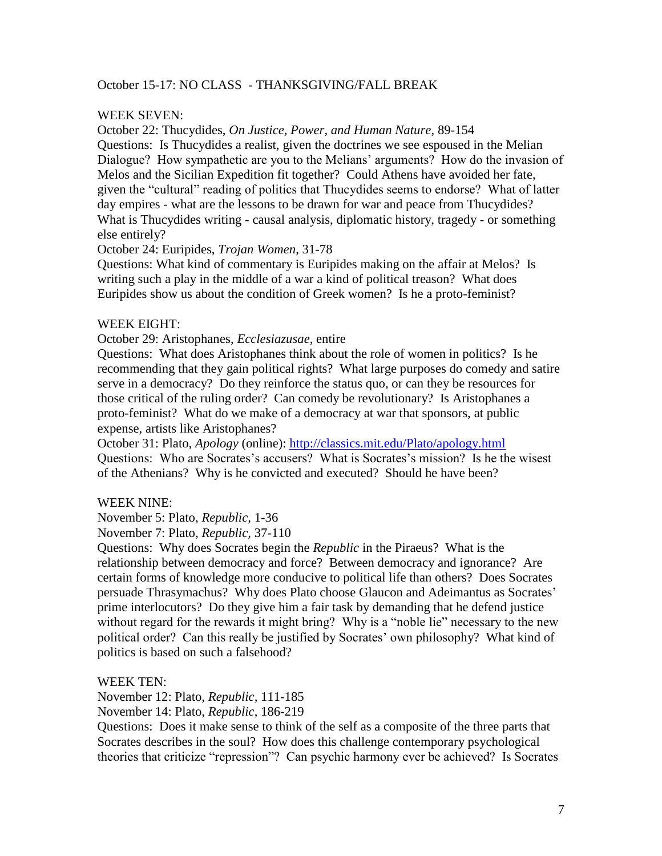# October 15-17: NO CLASS - THANKSGIVING/FALL BREAK

# WEEK SEVEN:

October 22: Thucydides, *On Justice, Power, and Human Nature*, 89-154 Questions: Is Thucydides a realist, given the doctrines we see espoused in the Melian Dialogue? How sympathetic are you to the Melians' arguments? How do the invasion of Melos and the Sicilian Expedition fit together? Could Athens have avoided her fate, given the "cultural" reading of politics that Thucydides seems to endorse? What of latter day empires - what are the lessons to be drawn for war and peace from Thucydides? What is Thucydides writing - causal analysis, diplomatic history, tragedy - or something else entirely?

October 24: Euripides, *Trojan Women*, 31-78

Questions: What kind of commentary is Euripides making on the affair at Melos? Is writing such a play in the middle of a war a kind of political treason? What does Euripides show us about the condition of Greek women? Is he a proto-feminist?

# WEEK EIGHT:

October 29: Aristophanes, *Ecclesiazusae*, entire

Questions: What does Aristophanes think about the role of women in politics? Is he recommending that they gain political rights? What large purposes do comedy and satire serve in a democracy? Do they reinforce the status quo, or can they be resources for those critical of the ruling order? Can comedy be revolutionary? Is Aristophanes a proto-feminist? What do we make of a democracy at war that sponsors, at public expense, artists like Aristophanes?

October 31: Plato, *Apology* (online):<http://classics.mit.edu/Plato/apology.html> Questions: Who are Socrates's accusers? What is Socrates's mission? Is he the wisest of the Athenians? Why is he convicted and executed? Should he have been?

# WEEK NINE:

November 5: Plato, *Republic,* 1-36 November 7: Plato, *Republic,* 37-110

Questions: Why does Socrates begin the *Republic* in the Piraeus? What is the relationship between democracy and force? Between democracy and ignorance? Are certain forms of knowledge more conducive to political life than others? Does Socrates persuade Thrasymachus? Why does Plato choose Glaucon and Adeimantus as Socrates' prime interlocutors? Do they give him a fair task by demanding that he defend justice without regard for the rewards it might bring? Why is a "noble lie" necessary to the new political order? Can this really be justified by Socrates' own philosophy? What kind of politics is based on such a falsehood?

# WEEK TEN:

November 12: Plato, *Republic,* 111-185

November 14: Plato, *Republic*, 186-219

Questions: Does it make sense to think of the self as a composite of the three parts that Socrates describes in the soul? How does this challenge contemporary psychological theories that criticize "repression"? Can psychic harmony ever be achieved? Is Socrates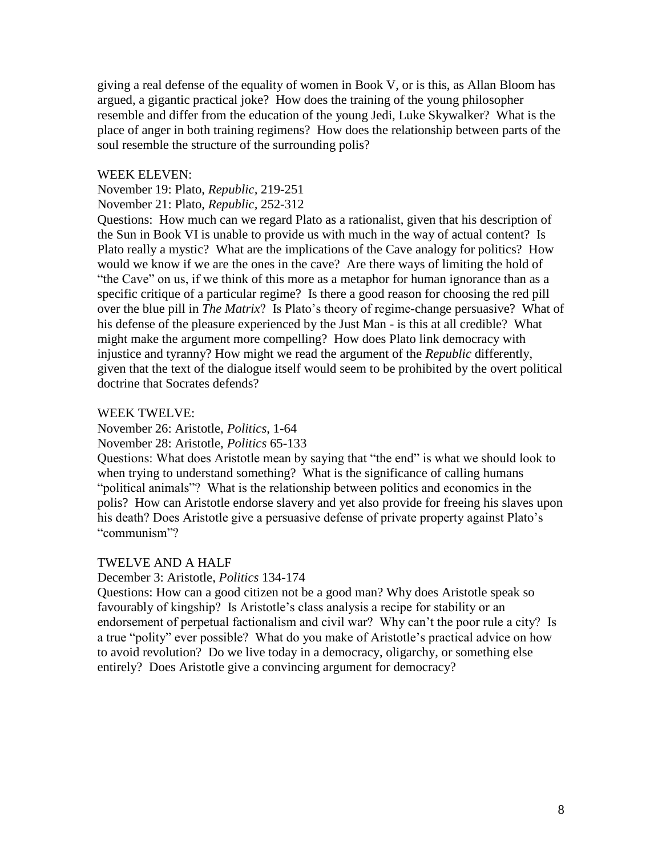giving a real defense of the equality of women in Book V, or is this, as Allan Bloom has argued, a gigantic practical joke? How does the training of the young philosopher resemble and differ from the education of the young Jedi, Luke Skywalker? What is the place of anger in both training regimens? How does the relationship between parts of the soul resemble the structure of the surrounding polis?

### WEEK ELEVEN:

November 19: Plato, *Republic,* 219-251

November 21: Plato, *Republic,* 252-312

Questions: How much can we regard Plato as a rationalist, given that his description of the Sun in Book VI is unable to provide us with much in the way of actual content? Is Plato really a mystic? What are the implications of the Cave analogy for politics? How would we know if we are the ones in the cave? Are there ways of limiting the hold of "the Cave" on us, if we think of this more as a metaphor for human ignorance than as a specific critique of a particular regime? Is there a good reason for choosing the red pill over the blue pill in *The Matrix*? Is Plato's theory of regime-change persuasive? What of his defense of the pleasure experienced by the Just Man - is this at all credible? What might make the argument more compelling? How does Plato link democracy with injustice and tyranny? How might we read the argument of the *Republic* differently, given that the text of the dialogue itself would seem to be prohibited by the overt political doctrine that Socrates defends?

#### WEEK TWELVE:

November 26: Aristotle, *Politics*, 1-64

November 28: Aristotle, *Politics* 65-133

Questions: What does Aristotle mean by saying that "the end" is what we should look to when trying to understand something? What is the significance of calling humans "political animals"? What is the relationship between politics and economics in the polis? How can Aristotle endorse slavery and yet also provide for freeing his slaves upon his death? Does Aristotle give a persuasive defense of private property against Plato's "communism"?

# TWELVE AND A HALF

December 3: Aristotle, *Politics* 134-174

Questions: How can a good citizen not be a good man? Why does Aristotle speak so favourably of kingship? Is Aristotle's class analysis a recipe for stability or an endorsement of perpetual factionalism and civil war? Why can't the poor rule a city? Is a true "polity" ever possible? What do you make of Aristotle's practical advice on how to avoid revolution? Do we live today in a democracy, oligarchy, or something else entirely? Does Aristotle give a convincing argument for democracy?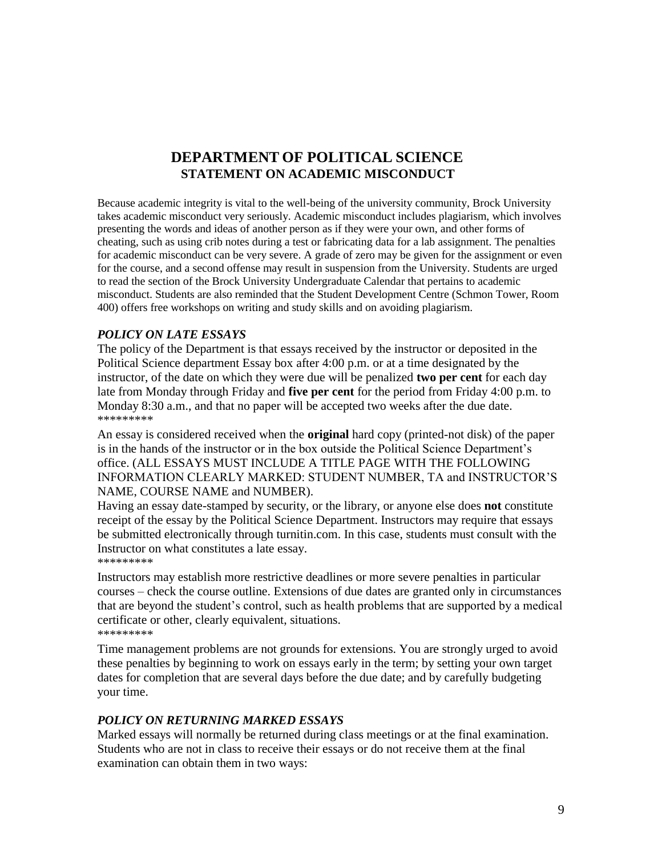# **DEPARTMENT OF POLITICAL SCIENCE STATEMENT ON ACADEMIC MISCONDUCT**

Because academic integrity is vital to the well-being of the university community, Brock University takes academic misconduct very seriously. Academic misconduct includes plagiarism, which involves presenting the words and ideas of another person as if they were your own, and other forms of cheating, such as using crib notes during a test or fabricating data for a lab assignment. The penalties for academic misconduct can be very severe. A grade of zero may be given for the assignment or even for the course, and a second offense may result in suspension from the University. Students are urged to read the section of the Brock University Undergraduate Calendar that pertains to academic misconduct. Students are also reminded that the Student Development Centre (Schmon Tower, Room 400) offers free workshops on writing and study skills and on avoiding plagiarism.

# *POLICY ON LATE ESSAYS*

The policy of the Department is that essays received by the instructor or deposited in the Political Science department Essay box after 4:00 p.m. or at a time designated by the instructor, of the date on which they were due will be penalized **two per cent** for each day late from Monday through Friday and **five per cent** for the period from Friday 4:00 p.m. to Monday 8:30 a.m., and that no paper will be accepted two weeks after the due date. \*\*\*\*\*\*\*\*\*

An essay is considered received when the **original** hard copy (printed-not disk) of the paper is in the hands of the instructor or in the box outside the Political Science Department's office. (ALL ESSAYS MUST INCLUDE A TITLE PAGE WITH THE FOLLOWING INFORMATION CLEARLY MARKED: STUDENT NUMBER, TA and INSTRUCTOR'S NAME, COURSE NAME and NUMBER).

Having an essay date-stamped by security, or the library, or anyone else does **not** constitute receipt of the essay by the Political Science Department. Instructors may require that essays be submitted electronically through turnitin.com. In this case, students must consult with the Instructor on what constitutes a late essay. \*\*\*\*\*\*\*\*\*

Instructors may establish more restrictive deadlines or more severe penalties in particular courses – check the course outline. Extensions of due dates are granted only in circumstances that are beyond the student's control, such as health problems that are supported by a medical certificate or other, clearly equivalent, situations. \*\*\*\*\*\*\*\*\*

Time management problems are not grounds for extensions. You are strongly urged to avoid these penalties by beginning to work on essays early in the term; by setting your own target dates for completion that are several days before the due date; and by carefully budgeting your time.

#### *POLICY ON RETURNING MARKED ESSAYS*

Marked essays will normally be returned during class meetings or at the final examination. Students who are not in class to receive their essays or do not receive them at the final examination can obtain them in two ways: